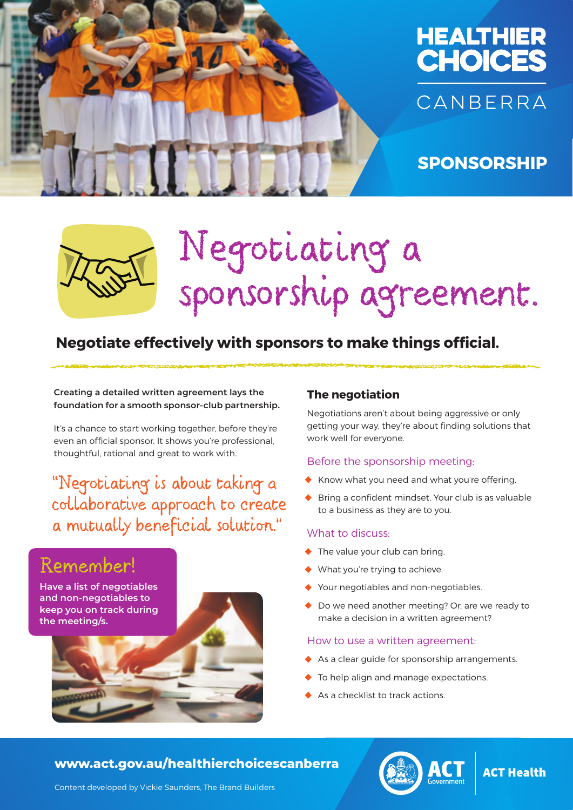



## **SPONSORSHIP**



# Negotiating a sponsorship agreement.

### **Negotiate effectively with sponsors to make things official.**

**Creating a detailed written agreement lays the foundation for a smooth sponsor-club partnership.**

It's a chance to start working together, before they're even an official sponsor. It shows you're professional, thoughtful, rational and great to work with.

"Negotiating is about taking a collaborative approach to create a mutually beneficial solution."

# Remember!

**Have a list of negotiables and non-negotiables to keep you on track during the meeting/s.** 



#### **The negotiation**

Negotiations aren't about being aggressive or only getting your way, they're about finding solutions that work well for everyone.

#### Before the sponsorship meeting:

- **•** Know what you need and what you're offering.
- **•** Bring a confident mindset. Your club is as valuable to a business as they are to you.

#### What to discuss:

- **•** The value your club can bring.
- What you're trying to achieve.
- **•** Your negotiables and non-negotiables.
- Do we need another meeting? Or, are we ready to make a decision in a written agreement?

#### How to use a written agreement:

- **•** As a clear guide for sponsorship arrangements.
- **•** To help align and manage expectations.
- As a checklist to track actions.

#### **www.act.gov.au/healthierchoicescanberra**



#### **ACT Health**

Content developed by Vickie Saunders, The Brand Builders